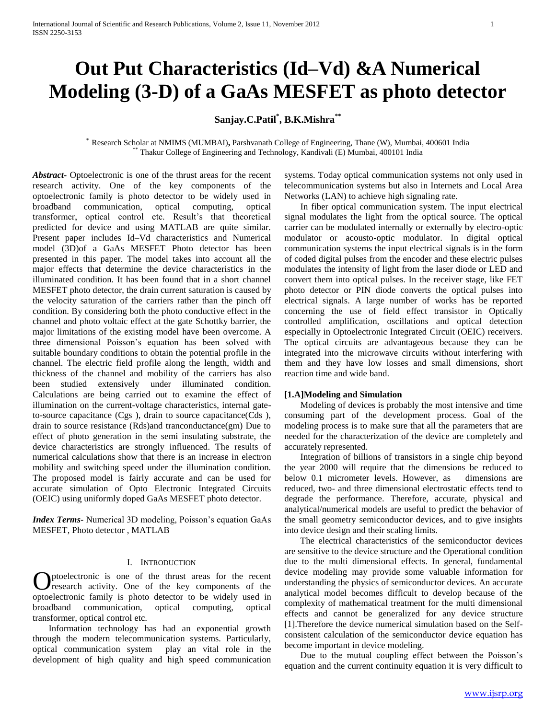# **Out Put Characteristics (Id–Vd) &A Numerical Modeling (3-D) of a GaAs MESFET as photo detector**

## **Sanjay.C.Patil\* , B.K.Mishra\*\***

\* Research Scholar at NMIMS (MUMBAI)**,** Parshvanath College of Engineering, Thane (W), Mumbai, 400601 India \*\* Thakur College of Engineering and Technology, Kandivali (E) Mumbai, 400101 India

*Abstract***-** Optoelectronic is one of the thrust areas for the recent research activity. One of the key components of the optoelectronic family is photo detector to be widely used in broadband communication, optical computing, optical transformer, optical control etc. Result's that theoretical predicted for device and using MATLAB are quite similar. Present paper includes Id–Vd characteristics and Numerical model (3D)of a GaAs MESFET Photo detector has been presented in this paper. The model takes into account all the major effects that determine the device characteristics in the illuminated condition. It has been found that in a short channel MESFET photo detector, the drain current saturation is caused by the velocity saturation of the carriers rather than the pinch off condition. By considering both the photo conductive effect in the channel and photo voltaic effect at the gate Schottky barrier, the major limitations of the existing model have been overcome. A three dimensional Poisson's equation has been solved with suitable boundary conditions to obtain the potential profile in the channel. The electric field profile along the length, width and thickness of the channel and mobility of the carriers has also been studied extensively under illuminated condition. Calculations are being carried out to examine the effect of illumination on the current-voltage characteristics, internal gateto-source capacitance (Cgs ), drain to source capacitance(Cds ), drain to source resistance (Rds)and tranconductance(gm) Due to effect of photo generation in the semi insulating substrate, the device characteristics are strongly influenced. The results of numerical calculations show that there is an increase in electron mobility and switching speed under the illumination condition. The proposed model is fairly accurate and can be used for accurate simulation of Opto Electronic Integrated Circuits (OEIC) using uniformly doped GaAs MESFET photo detector.

*Index Terms*- Numerical 3D modeling, Poisson's equation GaAs MESFET, Photo detector , MATLAB

#### I. INTRODUCTION

ptoelectronic is one of the thrust areas for the recent research activity. One of the key components of the **O**ptoelectronic is one of the thrust areas for the recent research activity. One of the key components of the optoelectronic family is photo detector to be widely used in broadband communication, optical computing, optical transformer, optical control etc.

 Information technology has had an exponential growth through the modern telecommunication systems. Particularly, optical communication system play an vital role in the development of high quality and high speed communication systems. Today optical communication systems not only used in telecommunication systems but also in Internets and Local Area Networks (LAN) to achieve high signaling rate.

 In fiber optical communication system. The input electrical signal modulates the light from the optical source. The optical carrier can be modulated internally or externally by electro-optic modulator or acousto-optic modulator. In digital optical communication systems the input electrical signals is in the form of coded digital pulses from the encoder and these electric pulses modulates the intensity of light from the laser diode or LED and convert them into optical pulses. In the receiver stage, like FET photo detector or PIN diode converts the optical pulses into electrical signals. A large number of works has be reported concerning the use of field effect transistor in Optically controlled amplification, oscillations and optical detection especially in Optoelectronic Integrated Circuit (OEIC) receivers. The optical circuits are advantageous because they can be integrated into the microwave circuits without interfering with them and they have low losses and small dimensions, short reaction time and wide band.

## **[1.A]Modeling and Simulation**

 Modeling of devices is probably the most intensive and time consuming part of the development process. Goal of the modeling process is to make sure that all the parameters that are needed for the characterization of the device are completely and accurately represented.

 Integration of billions of transistors in a single chip beyond the year 2000 will require that the dimensions be reduced to below 0.1 micrometer levels. However, as dimensions are reduced, two- and three dimensional electrostatic effects tend to degrade the performance. Therefore, accurate, physical and analytical/numerical models are useful to predict the behavior of the small geometry semiconductor devices, and to give insights into device design and their scaling limits.

 The electrical characteristics of the semiconductor devices are sensitive to the device structure and the Operational condition due to the multi dimensional effects. In general, fundamental device modeling may provide some valuable information for understanding the physics of semiconductor devices. An accurate analytical model becomes difficult to develop because of the complexity of mathematical treatment for the multi dimensional effects and cannot be generalized for any device structure [1].Therefore the device numerical simulation based on the Selfconsistent calculation of the semiconductor device equation has become important in device modeling.

 Due to the mutual coupling effect between the Poisson's equation and the current continuity equation it is very difficult to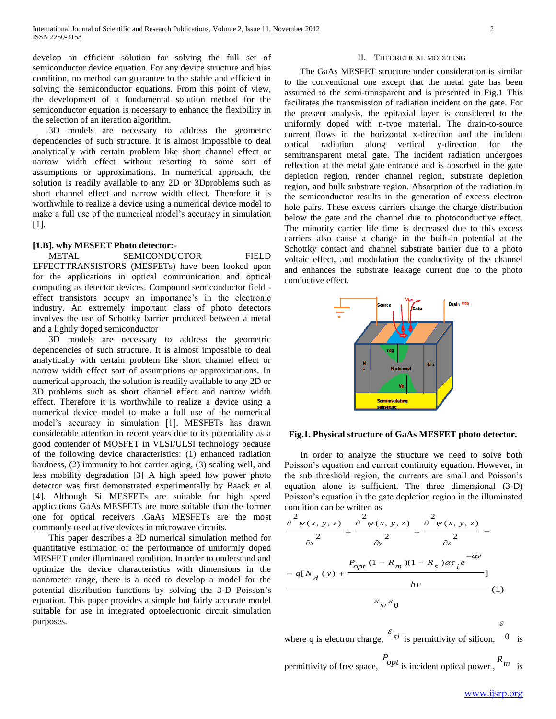develop an efficient solution for solving the full set of semiconductor device equation. For any device structure and bias condition, no method can guarantee to the stable and efficient in solving the semiconductor equations. From this point of view, the development of a fundamental solution method for the semiconductor equation is necessary to enhance the flexibility in the selection of an iteration algorithm.

 3D models are necessary to address the geometric dependencies of such structure. It is almost impossible to deal analytically with certain problem like short channel effect or narrow width effect without resorting to some sort of assumptions or approximations. In numerical approach, the solution is readily available to any 2D or 3Dproblems such as short channel effect and narrow width effect. Therefore it is worthwhile to realize a device using a numerical device model to make a full use of the numerical model's accuracy in simulation [1].

### **[1.B]. why MESFET Photo detector:-**

 METAL SEMICONDUCTOR FIELD EFFECTTRANSISTORS (MESFETs) have been looked upon for the applications in optical communication and optical computing as detector devices. Compound semiconductor field effect transistors occupy an importance's in the electronic industry. An extremely important class of photo detectors involves the use of Schottky barrier produced between a metal and a lightly doped semiconductor

 3D models are necessary to address the geometric dependencies of such structure. It is almost impossible to deal analytically with certain problem like short channel effect or narrow width effect sort of assumptions or approximations. In numerical approach, the solution is readily available to any 2D or 3D problems such as short channel effect and narrow width effect. Therefore it is worthwhile to realize a device using a numerical device model to make a full use of the numerical model's accuracy in simulation [1]. MESFETs has drawn considerable attention in recent years due to its potentiality as a good contender of MOSFET in VLSI/ULSI technology because of the following device characteristics: (1) enhanced radiation hardness, (2) immunity to hot carrier aging, (3) scaling well, and less mobility degradation [3] A high speed low power photo detector was first demonstrated experimentally by Baack et al [4]. Although Si MESFETs are suitable for high speed applications GaAs MESFETs are more suitable than the former one for optical receivers .GaAs MESFETs are the most commonly used active devices in microwave circuits.

 This paper describes a 3D numerical simulation method for quantitative estimation of the performance of uniformly doped MESFET under illuminated condition. In order to understand and optimize the device characteristics with dimensions in the nanometer range, there is a need to develop a model for the potential distribution functions by solving the 3-D Poisson's equation. This paper provides a simple but fairly accurate model suitable for use in integrated optoelectronic circuit simulation purposes.

#### II. THEORETICAL MODELING

 The GaAs MESFET structure under consideration is similar to the conventional one except that the metal gate has been assumed to the semi-transparent and is presented in Fig.1 This facilitates the transmission of radiation incident on the gate. For the present analysis, the epitaxial layer is considered to the uniformly doped with n-type material. The drain-to-source current flows in the horizontal x-direction and the incident optical radiation along vertical y-direction for the semitransparent metal gate. The incident radiation undergoes reflection at the metal gate entrance and is absorbed in the gate depletion region, render channel region, substrate depletion region, and bulk substrate region. Absorption of the radiation in the semiconductor results in the generation of excess electron hole pairs. These excess carriers change the charge distribution below the gate and the channel due to photoconductive effect. The minority carrier life time is decreased due to this excess carriers also cause a change in the built-in potential at the Schottky contact and channel substrate barrier due to a photo voltaic effect, and modulation the conductivity of the channel and enhances the substrate leakage current due to the photo conductive effect.



## **Fig.1. Physical structure of GaAs MESFET photo detector.**

 In order to analyze the structure we need to solve both Poisson's equation and current continuity equation. However, in the sub threshold region, the currents are small and Poisson's equation alone is sufficient. The three dimensional (3-D) Poisson's equation in the gate depletion region in the illuminated condition can be written as

$$
\frac{\partial^2 \psi(x, y, z)}{\partial x^2} + \frac{\partial^2 \psi(x, y, z)}{\partial y^2} + \frac{\partial^2 \psi(x, y, z)}{\partial z^2} =
$$
  

$$
-q[N_d(y) + \frac{P_{opt}(1 - R_m)(1 - R_s)\alpha\tau_i e^{-\alpha y}}{h\nu}]
$$
  

$$
F_{si} \varepsilon_0
$$
 (1)

where q is electron charge,  $\frac{\varepsilon_{si}}{s_i}$  is permittivity of silicon,  $0$  is

permittivity of free space,  $\frac{P_{opt}}{P}$  is incident optical power, *m* is

ε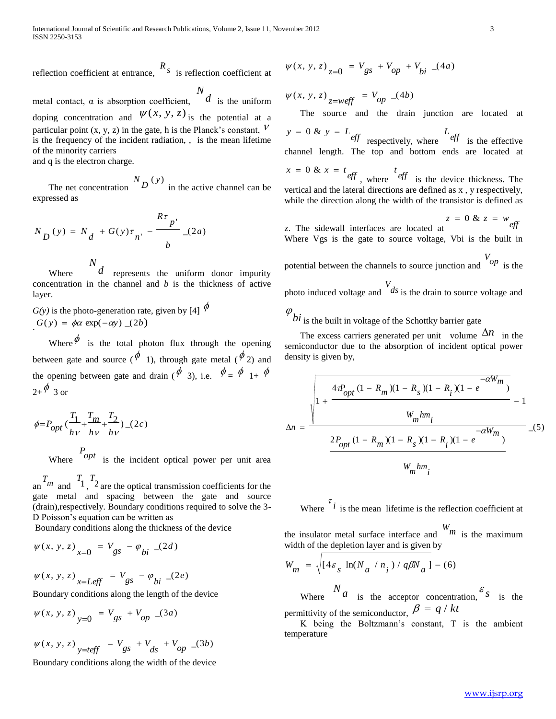reflection coefficient at entrance, *s R* is reflection coefficient at

metal contact,  $\alpha$  is absorption coefficient,  $\alpha$ *N* is the uniform doping concentration and  $\psi(x, y, z)$  is the potential at a particular point (x, y, z) in the gate, h is the Planck's constant,  $V$ is the frequency of the incident radiation, , is the mean lifetime of the minority carriers and q is the electron charge.

 The net concentration  $N_{D}$  (y) in the active channel can be expressed as

$$
N_{D}(y) = N_{d} + G(y)\tau_{n'} - \frac{R\tau_{p'}}{b}
$$
 (2*a*)  
Where 
$$
\frac{N_{d}}{d}
$$
 represents the uniform donor

 Where represents the uniform donor impurity concentration in the channel and *b* is the thickness of active layer.

 $G(y)$  is the photo-generation rate, given by [4]  $\phi$  $G(y) = \phi \alpha \exp(-\alpha y)$  (2*b*)

Where  $\phi$  is the total photon flux through the opening between gate and source ( $\phi$  1), through gate metal ( $\phi$  2) and the opening between gate and drain ( $\oint$  3), i.e.  $\oint = \oint 1 + \oint$  $_{2+}\phi$  3 or

$$
\phi = P_{opt} \left( \frac{T_1}{h\nu} + \frac{T_m}{h\nu} + \frac{T_2}{h\nu} \right) \_ (2c)
$$

Where  $\begin{bmatrix} P_{opt} \\ \end{bmatrix}$  is the incident optical power per unit area

 $T_m$  and  $T_1$ ,  $T_2$ are the optical transmission coefficients for the gate metal and spacing between the gate and source (drain),respectively. Boundary conditions required to solve the 3- D Poisson's equation can be written as

Boundary conditions along the thickness of the device

$$
\psi(x, y, z)_{x=0} = V_{gs} - \varphi_{bi} (2d)
$$

$$
\psi(x, y, z)_{x=Left} = V_{gs} - \varphi_{bi} -(2e)
$$

Boundary conditions along the length of the device

$$
\psi(x, y, z)_{y=0} = V_{gs} + V_{op} (3a)
$$

$$
\psi(x, y, z)_{y=teff} = V_{gs} + V_{ds} + V_{op} (3b)
$$
  
Bomdery conditions along the width of the device

Boundary conditions along the width of the device

$$
\psi(x, y, z)_{z=0} = V_{gs} + V_{op} + V_{bi} (4a)
$$

 $W(x, y, z)$ <sub>z=weff</sub> =  $V_{op}$  (4b)

The source and the drain junction are located at

 $y = 0$  &  $y = L_{eff}$  respectively, where  $L_{eff}$  is the effective channel length. The top and bottom ends are located at

$$
x = 0
$$
 &  $x = t$   
 *eff* , where *eff* is the device thickness. The  
vertical and the lateral directions are defined as x, y respectively,  
while the direction along the width of the transistor is defined as

z. The sidewall interfaces are located at  $z = 0$  &  $z = w_{eff}$ Where Vgs is the gate to source voltage, Vbi is the built in

potential between the channels to source junction and 
$$
V_{op}
$$
 is the photo induced voltage and  $V_{ab}$  is the drain to source voltage and

 $\sigma_{bi}$  is the built in voltage of the Schottky barrier gate

The excess carriers generated per unit volume  $\Delta n$  in the semiconductor due to the absorption of incident optical power density is given by,

$$
\Delta n = \frac{\sqrt{1 + \frac{4\tau P_{opt}(1 - R_m)(1 - R_s)(1 - R_i)(1 - e^{-\alpha W_m})}{W_m h m_i}} - 1}{\frac{2P_{opt}(1 - R_m)(1 - R_s)(1 - R_i)(1 - e^{-\alpha W_m})}{W_m h m_i}} - 1
$$

Where  $\int_{i}^{\tau} i$  is the mean lifetime is the reflection coefficient at

the insulator metal surface interface and *m W* is the maximum width of the depletion layer and is given by

$$
W_m = \sqrt{[4\varepsilon_s \ln(N_a / n_i) / q\beta N_a] - (6)}
$$
  
Where 
$$
\begin{cases} N_a & \text{is the acceptor concentration,} \end{cases} \begin{cases} S_s & \text{is the permittivity of the semiconductor,} \end{cases}
$$

 K being the Boltzmann's constant, T is the ambient temperature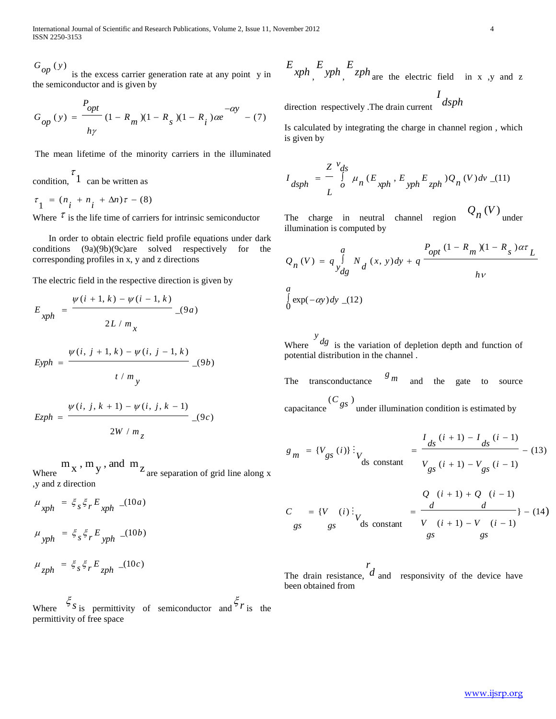International Journal of Scientific and Research Publications, Volume 2, Issue 11, November 2012 4 ISSN 2250-3153

*op G*

is the excess carrier generation rate at any point y in the semiconductor and is given by

$$
G_{op}(y) = \frac{P_{opt}}{h\gamma} (1 - R_m)(1 - R_s)(1 - R_i)\alpha e^{-\alpha y} - (7)
$$

The mean lifetime of the minority carriers in the illuminated

condition,  $\begin{bmatrix} 7 \\ 1 \end{bmatrix}$  can be written as

 $\tau_{1} = (n_{i} + n_{i} + \Delta n)\tau - (8)$ 

Where  $\tau$  is the life time of carriers for intrinsic semiconductor

 In order to obtain electric field profile equations under dark conditions (9a)(9b)(9c)are solved respectively for the corresponding profiles in x, y and z directions

The electric field in the respective direction is given by

www.ijsrp.org ( *y* ) \_(9 ) / ( , 1, ) ( , 1, ) \_(9 ) 2 / ( 1, ) ( 1, ) *b y t m i j k i j k Eyph a x L m i k i k xph <sup>E</sup>* 

$$
Ezph = \frac{\psi(i, j, k + 1) - \psi(i, j, k - 1)}{2W / m_z}
$$
 (9c)

Where  $m_x$ ,  $m_y$ , and  $m_z$ are separation of grid line along x ,y and z direction

$$
\mu_{xph} = \xi_s \xi_r E_{xph} \quad (10a)
$$
  

$$
\mu_{yph} = \xi_s \xi_r E_{yph} \quad (10b)
$$
  

$$
\mu_{zph} = \xi_s \xi_r E_{zph} \quad (10c)
$$

Where  $\frac{\xi}{s}$  is permittivity of semiconductor and  $\frac{\xi}{s}$  is the permittivity of free space

 $\int_{a}^{E}$   $\int_{c}^{E}$   $\int_{c}^{E}$   $\int_{c}^{E}$   $\int_{c}^{E}$   $\int_{c}^{E}$   $\int_{c}^{E}$   $\int_{c}^{E}$   $\int_{c}^{E}$   $\int_{c}^{E}$   $\int_{c}^{E}$   $\int_{c}^{E}$   $\int_{c}^{E}$   $\int_{c}^{E}$   $\int_{c}^{E}$   $\int_{c}^{E}$   $\int_{c}^{E}$   $\int_{c}^{E}$   $\int_{c}^{E}$   $\int_{c}^{E}$ 

direction respectively .The drain current *dsph <sup>I</sup>*

Is calculated by integrating the charge in channel region , which is given by

$$
I_{dsph} = \frac{Z V_{ds}}{L} \mu_n (E_{xph}, E_{yph} E_{zph}) Q_n (V) dv (11)
$$

The charge in neutral channel region  $Q_n(V)$ <sub>under</sub> illumination is computed by

$$
Q_n(V) = q \int_{y_{dg}}^{a} N_d(x, y) dy + q \frac{P_{opt}(1 - R_m)(1 - R_s) \alpha \tau_L}{h\nu}
$$
  

$$
\int_{0}^{a} \exp(-\alpha y) dy \sqrt{(1 - R_s)(1 - R_s)} dy
$$

Where  $\int_{a}^{y}$  *dg* is the variation of depletion depth and function of potential distribution in the channel .

The transconductance *m g* and the gate to source

capacitance  $(C_{gs})$ under illumination condition is estimated by

$$
g_m = \{V_{gs}(i)\}\vdots_{V_{gs}(i+1) - V_{gs}(i+1) - V_{gs}(i-1)} = \frac{I_{ds}(i+1) - I_{ds}(i-1)}{V_{gs}(i+1) - V_{gs}(i-1)}
$$
(13)

$$
C = \{V \ (i) : \n\begin{cases} Q & (i+1) + Q & (i-1) \\ \n\text{gs} & \text{gs} \n\end{cases} = \frac{d}{V \ (i+1) - V \ (i-1)} - (14)
$$
\n
$$
S = \frac{d}{S} \left( \frac{d}{S} \right)
$$

The drain resistance, *d r* and responsivity of the device have been obtained from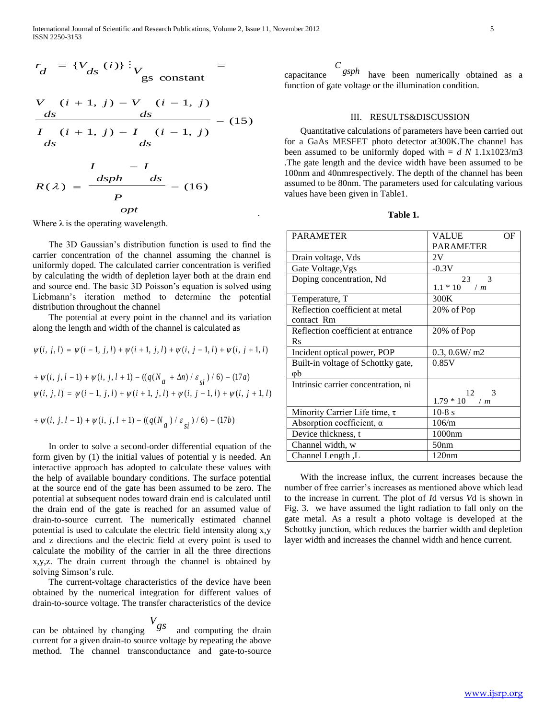.

$$
r_d = \{V_{ds}(i)\}\vdots_{\text{gs constant}} =
$$

$$
\frac{V (i + 1, j) - V (i - 1, j)}{ds}
$$
\n
$$
\frac{ds}{I (i + 1, j) - I (i - 1, j)} - (15)
$$
\n
$$
\frac{ds}{ds}
$$

$$
R(\lambda) = \frac{\frac{I}{dsph} - I}{P}
$$
 (16)

Where  $\lambda$  is the operating wavelength.

 The 3D Gaussian's distribution function is used to find the carrier concentration of the channel assuming the channel is uniformly doped. The calculated carrier concentration is verified by calculating the width of depletion layer both at the drain end and source end. The basic 3D Poisson's equation is solved using Liebmann's iteration method to determine the potential distribution throughout the channel

 The potential at every point in the channel and its variation along the length and width of the channel is calculated as

$$
\psi(i, j, l) = \psi(i - 1, j, l) + \psi(i + 1, j, l) + \psi(i, j - 1, l) + \psi(i, j + 1, l)
$$

+ 
$$
\psi(i, j, l-1)
$$
 +  $\psi(i, j, l+1)$  -  $((q(N_a + \Delta n)/\varepsilon_{si})/6)$  - (17a)  
 $\psi(i, j, l) = \psi(i - 1, j, l) + \psi(i + 1, j, l) + \psi(i, j - 1, l) + \psi(i, j + 1, l)$ 

$$
+\mathop{\psi(i,\,j,\,l-1)}\nolimits+\mathop{\psi(i,\,j,\,l+1)}\nolimits-\left(\left(q(N_{a}\right)/\varepsilon_{si}\right)/\left(6\right)-\left(17b\right)
$$

 In order to solve a second-order differential equation of the form given by (1) the initial values of potential y is needed. An interactive approach has adopted to calculate these values with the help of available boundary conditions. The surface potential at the source end of the gate has been assumed to be zero. The potential at subsequent nodes toward drain end is calculated until the drain end of the gate is reached for an assumed value of drain-to-source current. The numerically estimated channel potential is used to calculate the electric field intensity along x,y and z directions and the electric field at every point is used to calculate the mobility of the carrier in all the three directions x,y,z. The drain current through the channel is obtained by solving Simson's rule.

 The current-voltage characteristics of the device have been obtained by the numerical integration for different values of drain-to-source voltage. The transfer characteristics of the device

can be obtained by changing *V*<sub>gs</sub> and computing the drain current for a given drain-to source voltage by repeating the above method. The channel transconductance and gate-to-source

capacitance *gsph <sup>C</sup>* have been numerically obtained as a function of gate voltage or the illumination condition.

#### III. RESULTS&DISCUSSION

 Quantitative calculations of parameters have been carried out for a GaAs MESFET photo detector at300K.The channel has been assumed to be uniformly doped with  $= d N 1.1x1023/m3$ .The gate length and the device width have been assumed to be 100nm and 40nmrespectively. The depth of the channel has been assumed to be 80nm. The parameters used for calculating various values have been given in Table1.

**Table 1.**

| <b>PARAMETER</b>                    | VALUE<br>OF         |
|-------------------------------------|---------------------|
|                                     | <b>PARAMETER</b>    |
| Drain voltage, Vds                  | 2V                  |
| Gate Voltage, Vgs                   | $-0.3V$             |
| Doping concentration, Nd            | 23<br>$\mathcal{R}$ |
|                                     | $1.1 * 10$ /m       |
| Temperature, T                      | 300K                |
| Reflection coefficient at metal     | 20% of Pop          |
| contact Rm                          |                     |
| Reflection coefficient at entrance  | 20% of Pop          |
| $R_{S}$                             |                     |
| Incident optical power, POP         | 0.3, 0.6W/m2        |
| Built-in voltage of Schottky gate,  | 0.85V               |
| φb                                  |                     |
| Intrinsic carrier concentration, ni |                     |
|                                     | 12<br>$\mathcal{R}$ |
|                                     | $1.79 * 10$ /m      |
| Minority Carrier Life time, $\tau$  | $10-8$ s            |
| Absorption coefficient, $\alpha$    | 106/m               |
| Device thickness, t                 | 1000nm              |
| Channel width, w                    | 50 <sub>nm</sub>    |
| Channel Length, L                   | 120nm               |

 With the increase influx, the current increases because the number of free carrier's increases as mentioned above which lead to the increase in current. The plot of *I*d versus *V*d is shown in Fig. 3. we have assumed the light radiation to fall only on the gate metal. As a result a photo voltage is developed at the Schottky junction, which reduces the barrier width and depletion layer width and increases the channel width and hence current.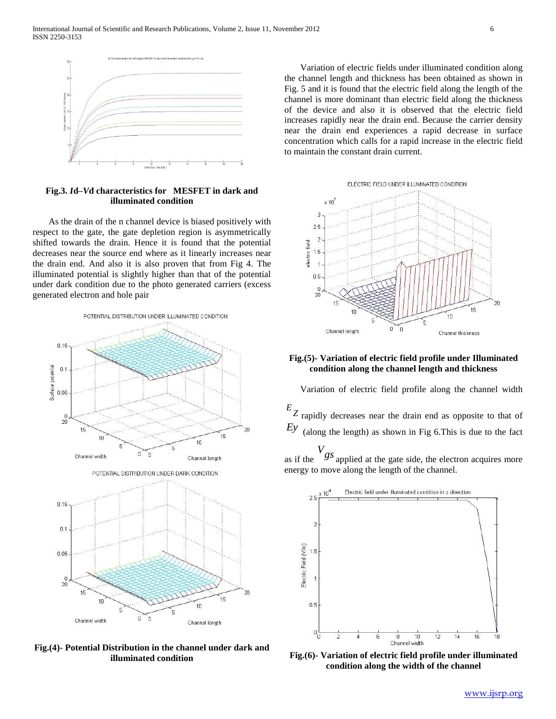

## **Fig.3.** *I***d***–V***d characteristics for MESFET in dark and illuminated condition**

 As the drain of the n channel device is biased positively with respect to the gate, the gate depletion region is asymmetrically shifted towards the drain. Hence it is found that the potential decreases near the source end where as it linearly increases near the drain end. And also it is also proven that from Fig 4. The illuminated potential is slightly higher than that of the potential under dark condition due to the photo generated carriers (excess generated electron and hole pair



**Fig.(4)- Potential Distribution in the channel under dark and illuminated condition**

 Variation of electric fields under illuminated condition along the channel length and thickness has been obtained as shown in Fig. 5 and it is found that the electric field along the length of the channel is more dominant than electric field along the thickness of the device and also it is observed that the electric field increases rapidly near the drain end. Because the carrier density near the drain end experiences a rapid decrease in surface concentration which calls for a rapid increase in the electric field to maintain the constant drain current.



## **Fig.(5)- Variation of electric field profile under Illuminated condition along the channel length and thickness**

 Variation of electric field profile along the channel width *Z E* rapidly decreases near the drain end as opposite to that of *Ey* (along the length) as shown in Fig 6.This is due to the fact

as if the *gs V* applied at the gate side, the electron acquires more energy to move along the length of the channel.



**Fig.(6)- Variation of electric field profile under illuminated condition along the width of the channel**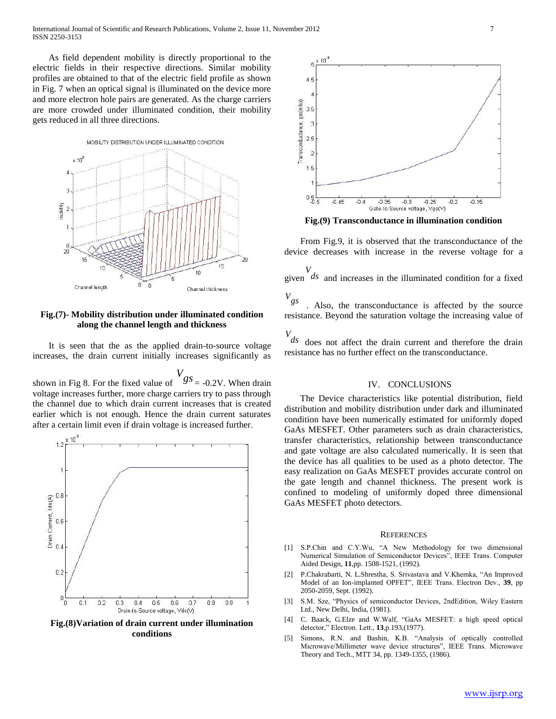As field dependent mobility is directly proportional to the electric fields in their respective directions. Similar mobility profiles are obtained to that of the electric field profile as shown in Fig. 7 when an optical signal is illuminated on the device more and more electron hole pairs are generated. As the charge carriers are more crowded under illuminated condition, their mobility gets reduced in all three directions.



## **Fig.(7)- Mobility distribution under illuminated condition along the channel length and thickness**

 It is seen that the as the applied drain-to-source voltage increases, the drain current initially increases significantly as

shown in Fig 8. For the fixed value of  $\begin{cases} V_{gS} = -0.2V$ . When drain voltage increases further, more charge carriers try to pass through the channel due to which drain current increases that is created earlier which is not enough. Hence the drain current saturates after a certain limit even if drain voltage is increased further.



**Fig.(8)Variation of drain current under illumination conditions**



**Fig.(9) Transconductance in illumination condition**

 From Fig.9, it is observed that the transconductance of the device decreases with increase in the reverse voltage for a

 $V$  given  $ds$  and increases in the illuminated condition for a fixed

*gs V* . Also, the transconductance is affected by the source resistance. Beyond the saturation voltage the increasing value of

*ds V* does not affect the drain current and therefore the drain resistance has no further effect on the transconductance.

## IV. CONCLUSIONS

 The Device characteristics like potential distribution, field distribution and mobility distribution under dark and illuminated condition have been numerically estimated for uniformly doped GaAs MESFET. Other parameters such as drain characteristics, transfer characteristics, relationship between transconductance and gate voltage are also calculated numerically. It is seen that the device has all qualities to be used as a photo detector. The easy realization on GaAs MESFET provides accurate control on the gate length and channel thickness. The present work is confined to modeling of uniformly doped three dimensional GaAs MESFET photo detectors.

#### **REFERENCES**

- [1] S.P.Chin and C.Y.Wu, "A New Methodology for two dimensional Numerical Simulation of Semiconductor Devices", IEEE Trans. Computer Aided Design, **11**,pp. 1508-1521, (1992).
- [2] P.Chakrabarti, N. L.Shrestha, S. Srivastava and V.Khemka, "An Improved Model of an Ion-implanted OPFET", IEEE Trans. Electron Dev., **39**, pp 2050-2059, Sept. (1992).
- [3] S.M. Sze, "Physics of semiconductor Devices, 2ndEdition, Wiley Eastern Ltd., New Delhi, India, (1981).
- [4] C. Baack, G.Elze and W.Walf, "GaAs MESFET: a high speed optical detector," Electron. Lett., **13**,p.193,(1977).
- [5] Simons, R.N. and Bashin, K.B. "Analysis of optically controlled Microwave/Millimeter wave device structures", IEEE Trans. Microwave Theory and Tech., MTT 34, pp. 1349-1355, (1986).